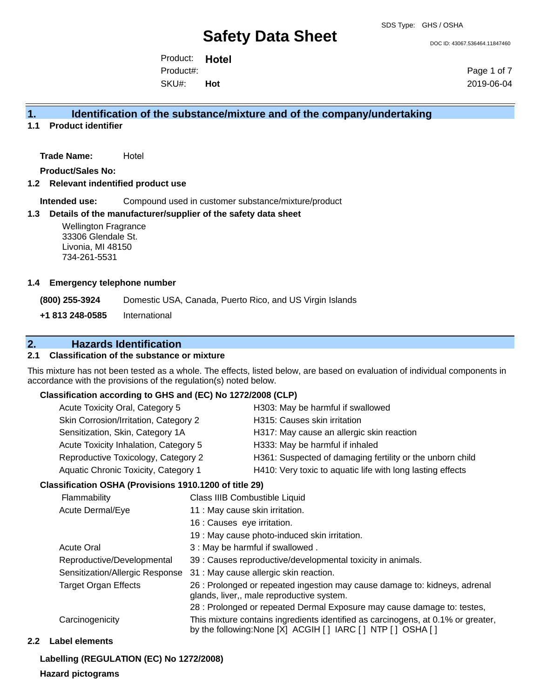# **Safety Data Sheet**

DOC ID: 43067.536464.11847460

Product: **Hotel**  SKU#: Product#: **Hot**

Page 1 of 7 2019-06-04

### **1. Identification of the substance/mixture and of the company/undertaking**

**1.1 Product identifier**

**Trade Name:** Hotel

**Product/Sales No:**

**1.2 Relevant indentified product use**

**Intended use:** Compound used in customer substance/mixture/product

#### **1.3 Details of the manufacturer/supplier of the safety data sheet**

Wellington Fragrance 33306 Glendale St. Livonia, MI 48150 734-261-5531

#### **1.4 Emergency telephone number**

**(800) 255-3924** Domestic USA, Canada, Puerto Rico, and US Virgin Islands

**+1 813 248-0585** International

### **2. Hazards Identification**

#### **2.1 Classification of the substance or mixture**

This mixture has not been tested as a whole. The effects, listed below, are based on evaluation of individual components in accordance with the provisions of the regulation(s) noted below.

#### **Classification according to GHS and (EC) No 1272/2008 (CLP)**

#### **Classification OSHA (Provisions 1910.1200 of title 29)**

| <b>Flammability</b>             | Class IIIB Combustible Liquid                                                                                                                      |  |
|---------------------------------|----------------------------------------------------------------------------------------------------------------------------------------------------|--|
| Acute Dermal/Eye                | 11 : May cause skin irritation.                                                                                                                    |  |
|                                 | 16 : Causes eye irritation.                                                                                                                        |  |
|                                 | 19 : May cause photo-induced skin irritation.                                                                                                      |  |
| <b>Acute Oral</b>               | 3 : May be harmful if swallowed.                                                                                                                   |  |
| Reproductive/Developmental      | 39 : Causes reproductive/developmental toxicity in animals.                                                                                        |  |
| Sensitization/Allergic Response | 31 : May cause allergic skin reaction.                                                                                                             |  |
| <b>Target Organ Effects</b>     | 26 : Prolonged or repeated ingestion may cause damage to: kidneys, adrenal<br>glands, liver,, male reproductive system.                            |  |
|                                 | 28 : Prolonged or repeated Dermal Exposure may cause damage to: testes,                                                                            |  |
| Carcinogenicity                 | This mixture contains ingredients identified as carcinogens, at 0.1% or greater,<br>by the following: None [X] ACGIH [ ] IARC [ ] NTP [ ] OSHA [ ] |  |

#### **2.2 Label elements**

#### **Labelling (REGULATION (EC) No 1272/2008)**

#### **Hazard pictograms**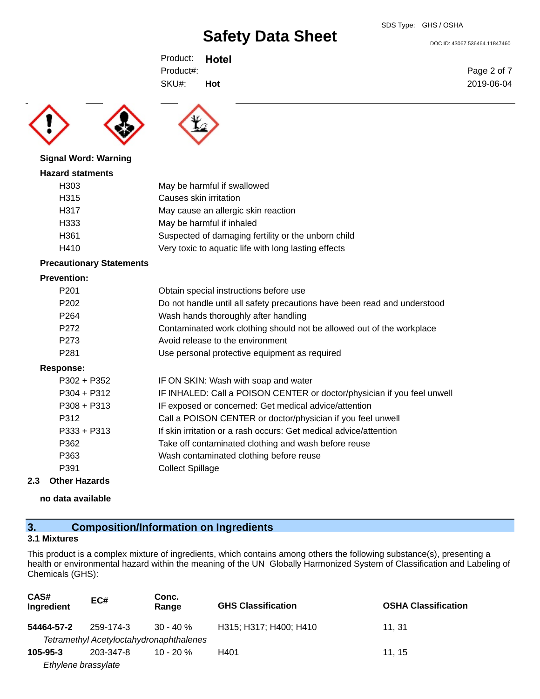# **Safety Data Sheet**

DOC ID: 43067.536464.11847460

Product: **Hotel**  SKU#: Product#: **Hot**



#### **Signal Word: Warning**

#### **Hazard statments**

| H <sub>303</sub> | May be harmful if swallowed                          |
|------------------|------------------------------------------------------|
| H315             | Causes skin irritation                               |
| H317             | May cause an allergic skin reaction                  |
| H333             | May be harmful if inhaled                            |
| H <sub>361</sub> | Suspected of damaging fertility or the unborn child  |
| H410             | Very toxic to aquatic life with long lasting effects |
|                  |                                                      |

### **Precautionary Statements**

#### **Prevention:**

| P <sub>201</sub> | Obtain special instructions before use                                   |
|------------------|--------------------------------------------------------------------------|
| P <sub>202</sub> | Do not handle until all safety precautions have been read and understood |
| P <sub>264</sub> | Wash hands thoroughly after handling                                     |
| P272             | Contaminated work clothing should not be allowed out of the workplace    |
| P273             | Avoid release to the environment                                         |
| P281             | Use personal protective equipment as required                            |
| Response:        |                                                                          |
| P302 + P352      | IF ON SKIN: Wash with soap and water                                     |
| P304 + P312      | IF INHALED: Call a POISON CENTER or doctor/physician if you feel unwell  |
| P308 + P313      | IF exposed or concerned: Get medical advice/attention                    |
| P312             | Call a POISON CENTER or doctor/physician if you feel unwell              |
| P333 + P313      | If skin irritation or a rash occurs: Get medical advice/attention        |
| P362             | Take off contaminated clothing and wash before reuse                     |
| P363             | Wash contaminated clothing before reuse                                  |
| P391             | <b>Collect Spillage</b>                                                  |
|                  |                                                                          |

#### **2.3 Other Hazards**

**no data available**

# **3. Composition/Information on Ingredients**

### **3.1 Mixtures**

This product is a complex mixture of ingredients, which contains among others the following substance(s), presenting a health or environmental hazard within the meaning of the UN Globally Harmonized System of Classification and Labeling of Chemicals (GHS):

| CAS#<br>Ingredient  | EC#                                     | Conc.<br>Range | <b>GHS Classification</b> | <b>OSHA Classification</b> |
|---------------------|-----------------------------------------|----------------|---------------------------|----------------------------|
| 54464-57-2          | 259-174-3                               | $30 - 40 \%$   | H315; H317; H400; H410    | 11. 31                     |
|                     | Tetramethyl Acetyloctahydronaphthalenes |                |                           |                            |
| 105-95-3            | 203-347-8                               | $10 - 20 \%$   | H401                      | 11.15                      |
| Ethylene brassylate |                                         |                |                           |                            |

Page 2 of 7 2019-06-04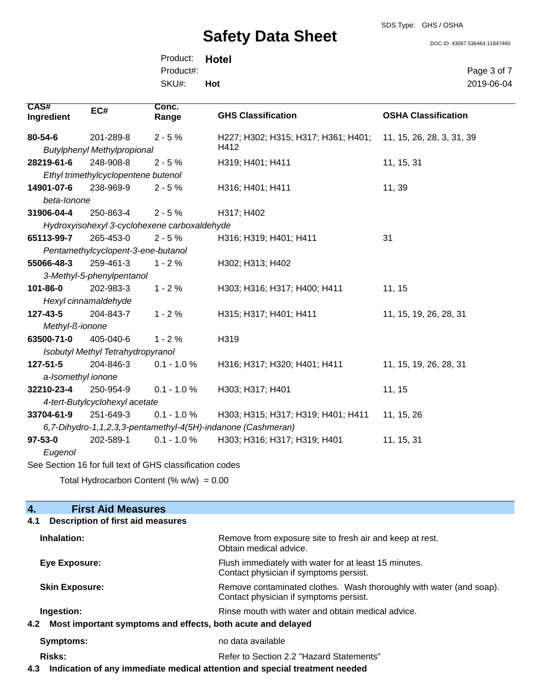# **Safety Data Sheet**

SDS Type: GHS / OSHA

DOC ID: 43067.536464.11847460

Product: **Hotel**  SKU#: Product#: **Hot**

Page 3 of 7 2019-06-04

| CAS#<br>Ingredient                                       | EC#                                 | Conc.<br>Range                               | <b>GHS Classification</b>                                    | <b>OSHA Classification</b> |
|----------------------------------------------------------|-------------------------------------|----------------------------------------------|--------------------------------------------------------------|----------------------------|
| 80-54-6                                                  | 201-289-8                           | $2 - 5%$                                     | H227; H302; H315; H317; H361; H401;                          | 11, 15, 26, 28, 3, 31, 39  |
|                                                          | <b>Butylphenyl Methylpropional</b>  |                                              | H412                                                         |                            |
| 28219-61-6                                               | 248-908-8                           | $2 - 5%$                                     | H319; H401; H411                                             | 11, 15, 31                 |
|                                                          | Ethyl trimethylcyclopentene butenol |                                              |                                                              |                            |
| 14901-07-6                                               | 238-969-9                           | $2 - 5%$                                     | H316; H401; H411                                             | 11, 39                     |
| beta-lonone                                              |                                     |                                              |                                                              |                            |
| 31906-04-4                                               | 250-863-4                           | $2 - 5%$                                     | H317; H402                                                   |                            |
|                                                          |                                     | Hydroxyisohexyl 3-cyclohexene carboxaldehyde |                                                              |                            |
| 65113-99-7                                               | 265-453-0                           | $2 - 5%$                                     | H316; H319; H401; H411                                       | 31                         |
|                                                          | Pentamethylcyclopent-3-ene-butanol  |                                              |                                                              |                            |
| 55066-48-3                                               | 259-461-3                           | $1 - 2%$                                     | H302; H313; H402                                             |                            |
|                                                          | 3-Methyl-5-phenylpentanol           |                                              |                                                              |                            |
| 101-86-0                                                 | 202-983-3                           | $1 - 2%$                                     | H303; H316; H317; H400; H411                                 | 11, 15                     |
|                                                          | Hexyl cinnamaldehyde                |                                              |                                                              |                            |
| 127-43-5                                                 | 204-843-7                           | $1 - 2%$                                     | H315; H317; H401; H411                                       | 11, 15, 19, 26, 28, 31     |
| Methyl-ß-ionone                                          |                                     |                                              |                                                              |                            |
| 63500-71-0                                               | 405-040-6                           | $1 - 2%$                                     | H319                                                         |                            |
| Isobutyl Methyl Tetrahydropyranol                        |                                     |                                              |                                                              |                            |
| $127 - 51 - 5$                                           | 204-846-3                           | $0.1 - 1.0 %$                                | H316; H317; H320; H401; H411                                 | 11, 15, 19, 26, 28, 31     |
| a-Isomethyl ionone                                       |                                     |                                              |                                                              |                            |
| 32210-23-4                                               | 250-954-9                           | $0.1 - 1.0 %$                                | H303; H317; H401                                             | 11, 15                     |
| 4-tert-Butylcyclohexyl acetate                           |                                     |                                              |                                                              |                            |
| 33704-61-9                                               | 251-649-3                           | $0.1 - 1.0 %$                                | H303; H315; H317; H319; H401; H411                           | 11, 15, 26                 |
|                                                          |                                     |                                              | 6,7-Dihydro-1,1,2,3,3-pentamethyl-4(5H)-indanone (Cashmeran) |                            |
| $97 - 53 - 0$                                            | 202-589-1                           | $0.1 - 1.0 \%$                               | H303; H316; H317; H319; H401                                 | 11, 15, 31                 |
| Eugenol                                                  |                                     |                                              |                                                              |                            |
| See Section 16 for full text of GHS classification codes |                                     |                                              |                                                              |                            |

Total Hydrocarbon Content (%  $w/w$ ) = 0.00

| <b>First Aid Measures</b><br>$\overline{4}$ .                      |                                                                                                               |
|--------------------------------------------------------------------|---------------------------------------------------------------------------------------------------------------|
| <b>Description of first aid measures</b><br>4.1                    |                                                                                                               |
| Inhalation:                                                        | Remove from exposure site to fresh air and keep at rest.<br>Obtain medical advice.                            |
| Eye Exposure:                                                      | Flush immediately with water for at least 15 minutes.<br>Contact physician if symptoms persist.               |
| <b>Skin Exposure:</b>                                              | Remove contaminated clothes. Wash thoroughly with water (and soap).<br>Contact physician if symptoms persist. |
| Ingestion:                                                         | Rinse mouth with water and obtain medical advice.                                                             |
| Most important symptoms and effects, both acute and delayed<br>4.2 |                                                                                                               |
| Symptoms:                                                          | no data available                                                                                             |
| <b>Risks:</b>                                                      | Refer to Section 2.2 "Hazard Statements"                                                                      |
|                                                                    |                                                                                                               |

**4.3 Indication of any immediate medical attention and special treatment needed**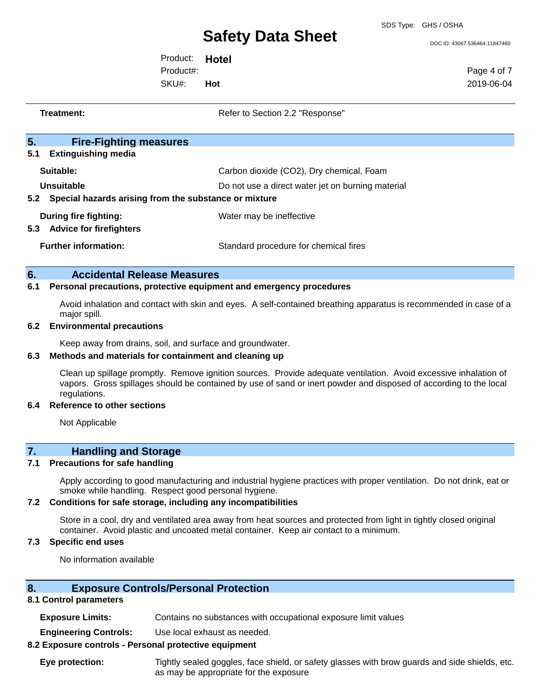# **Safety Data Sheet**

SDS Type: GHS / OSHA

DOC ID: 43067.536464.11847460

Product: **Hotel**  SKU#: Product#: **Hot**

Page 4 of 7 2019-06-04

| Refer to Section 2.2 "Response"                                                               |
|-----------------------------------------------------------------------------------------------|
|                                                                                               |
| Carbon dioxide (CO2), Dry chemical, Foam<br>Do not use a direct water jet on burning material |
| Special hazards arising from the substance or mixture                                         |
| Water may be ineffective                                                                      |
| Standard procedure for chemical fires                                                         |
|                                                                                               |

### **6. Accidental Release Measures**

#### **6.1 Personal precautions, protective equipment and emergency procedures**

Avoid inhalation and contact with skin and eyes. A self-contained breathing apparatus is recommended in case of a major spill.

#### **6.2 Environmental precautions**

Keep away from drains, soil, and surface and groundwater.

#### **6.3 Methods and materials for containment and cleaning up**

Clean up spillage promptly. Remove ignition sources. Provide adequate ventilation. Avoid excessive inhalation of vapors. Gross spillages should be contained by use of sand or inert powder and disposed of according to the local regulations.

#### **6.4 Reference to other sections**

Not Applicable

# **7. Handling and Storage**

#### **7.1 Precautions for safe handling**

Apply according to good manufacturing and industrial hygiene practices with proper ventilation. Do not drink, eat or smoke while handling. Respect good personal hygiene.

#### **7.2 Conditions for safe storage, including any incompatibilities**

Store in a cool, dry and ventilated area away from heat sources and protected from light in tightly closed original container. Avoid plastic and uncoated metal container. Keep air contact to a minimum.

#### **7.3 Specific end uses**

No information available

#### **8. Exposure Controls/Personal Protection**

#### **8.1 Control parameters**

| <b>Exposure Limits:</b> | Contains no substances with occupational exposure limit values |  |  |
|-------------------------|----------------------------------------------------------------|--|--|
|-------------------------|----------------------------------------------------------------|--|--|

**Engineering Controls:** Use local exhaust as needed.

#### **8.2 Exposure controls - Personal protective equipment**

**Eye protection:** Tightly sealed goggles, face shield, or safety glasses with brow guards and side shields, etc. as may be appropriate for the exposure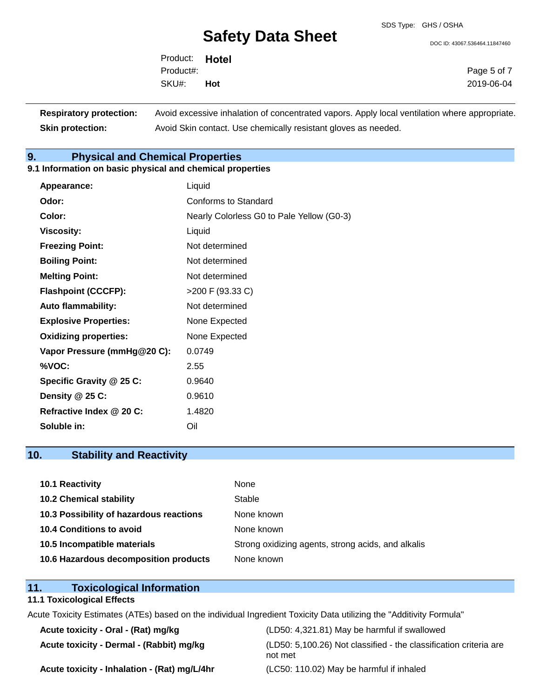# **Safety Data Sheet**

DOC ID: 43067.536464.11847460

Product: **Hotel**  SKU#: Product#: **Hot**

Page 5 of 7 2019-06-04

**Respiratory protection:** Avoid excessive inhalation of concentrated vapors. Apply local ventilation where appropriate. **Skin protection:** Avoid Skin contact. Use chemically resistant gloves as needed.

# **9. Physical and Chemical Properties**

#### **9.1 Information on basic physical and chemical properties**

| Appearance:                  | Liquid                                    |
|------------------------------|-------------------------------------------|
| Odor:                        | Conforms to Standard                      |
| Color:                       | Nearly Colorless G0 to Pale Yellow (G0-3) |
| <b>Viscosity:</b>            | Liquid                                    |
| <b>Freezing Point:</b>       | Not determined                            |
| <b>Boiling Point:</b>        | Not determined                            |
| <b>Melting Point:</b>        | Not determined                            |
| <b>Flashpoint (CCCFP):</b>   | >200 F (93.33 C)                          |
| <b>Auto flammability:</b>    | Not determined                            |
| <b>Explosive Properties:</b> | None Expected                             |
| <b>Oxidizing properties:</b> | None Expected                             |
| Vapor Pressure (mmHg@20 C):  | 0.0749                                    |
| %VOC:                        | 2.55                                      |
| Specific Gravity @ 25 C:     | 0.9640                                    |
| Density @ 25 C:              | 0.9610                                    |
| Refractive Index @ 20 C:     | 1.4820                                    |
| Soluble in:                  | Oil                                       |

# **10. Stability and Reactivity**

| 10.1 Reactivity                         | None                                               |
|-----------------------------------------|----------------------------------------------------|
| <b>10.2 Chemical stability</b>          | Stable                                             |
| 10.3 Possibility of hazardous reactions | None known                                         |
| 10.4 Conditions to avoid                | None known                                         |
| 10.5 Incompatible materials             | Strong oxidizing agents, strong acids, and alkalis |
| 10.6 Hazardous decomposition products   | None known                                         |

# **11. Toxicological Information**

### **11.1 Toxicological Effects**

Acute Toxicity Estimates (ATEs) based on the individual Ingredient Toxicity Data utilizing the "Additivity Formula"

| Acute toxicity - Oral - (Rat) mg/kg          | (LD50: 4,321.81) May be harmful if swallowed                                 |
|----------------------------------------------|------------------------------------------------------------------------------|
| Acute toxicity - Dermal - (Rabbit) mg/kg     | (LD50: 5,100.26) Not classified - the classification criteria are<br>not met |
| Acute toxicity - Inhalation - (Rat) mg/L/4hr | (LC50: 110.02) May be harmful if inhaled                                     |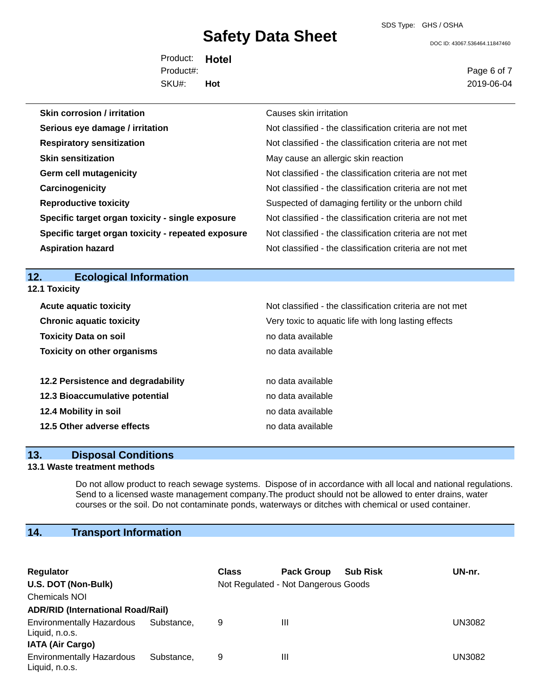# **Safety Data Sheet**

SDS Type: GHS / OSHA

DOC ID: 43067.536464.11847460

Product: **Hotel**  SKU#: Product#: **Hot**

Page 6 of 7 2019-06-04

| <b>Skin corrosion / irritation</b>                 | Causes skin irritation                                   |
|----------------------------------------------------|----------------------------------------------------------|
| Serious eye damage / irritation                    | Not classified - the classification criteria are not met |
| <b>Respiratory sensitization</b>                   | Not classified - the classification criteria are not met |
| <b>Skin sensitization</b>                          | May cause an allergic skin reaction                      |
| <b>Germ cell mutagenicity</b>                      | Not classified - the classification criteria are not met |
| Carcinogenicity                                    | Not classified - the classification criteria are not met |
| <b>Reproductive toxicity</b>                       | Suspected of damaging fertility or the unborn child      |
| Specific target organ toxicity - single exposure   | Not classified - the classification criteria are not met |
| Specific target organ toxicity - repeated exposure | Not classified - the classification criteria are not met |
| <b>Aspiration hazard</b>                           | Not classified - the classification criteria are not met |

## **12. Ecological Information**

| 12.1 Toxicity                      |                                                          |  |  |  |  |
|------------------------------------|----------------------------------------------------------|--|--|--|--|
| <b>Acute aquatic toxicity</b>      | Not classified - the classification criteria are not met |  |  |  |  |
| <b>Chronic aquatic toxicity</b>    | Very toxic to aquatic life with long lasting effects     |  |  |  |  |
| <b>Toxicity Data on soil</b>       | no data available                                        |  |  |  |  |
| <b>Toxicity on other organisms</b> | no data available                                        |  |  |  |  |
| 12.2 Persistence and degradability | no data available                                        |  |  |  |  |
| 12.3 Bioaccumulative potential     | no data available                                        |  |  |  |  |
| 12.4 Mobility in soil              | no data available                                        |  |  |  |  |
| 12.5 Other adverse effects         | no data available                                        |  |  |  |  |

#### **13. Disposal Conditions**

#### **13.1 Waste treatment methods**

Do not allow product to reach sewage systems. Dispose of in accordance with all local and national regulations. Send to a licensed waste management company.The product should not be allowed to enter drains, water courses or the soil. Do not contaminate ponds, waterways or ditches with chemical or used container.

# **14. Transport Information**

| Regulator                                          |            | <b>Class</b> | <b>Pack Group</b>                   | <b>Sub Risk</b> | UN-nr.        |  |
|----------------------------------------------------|------------|--------------|-------------------------------------|-----------------|---------------|--|
| U.S. DOT (Non-Bulk)                                |            |              | Not Regulated - Not Dangerous Goods |                 |               |  |
| <b>Chemicals NOI</b>                               |            |              |                                     |                 |               |  |
| <b>ADR/RID (International Road/Rail)</b>           |            |              |                                     |                 |               |  |
| <b>Environmentally Hazardous</b><br>Liquid, n.o.s. | Substance. | 9            | Ш                                   |                 | <b>UN3082</b> |  |
| <b>IATA (Air Cargo)</b>                            |            |              |                                     |                 |               |  |
| <b>Environmentally Hazardous</b><br>Liquid, n.o.s. | Substance. | 9            | Ш                                   |                 | <b>UN3082</b> |  |